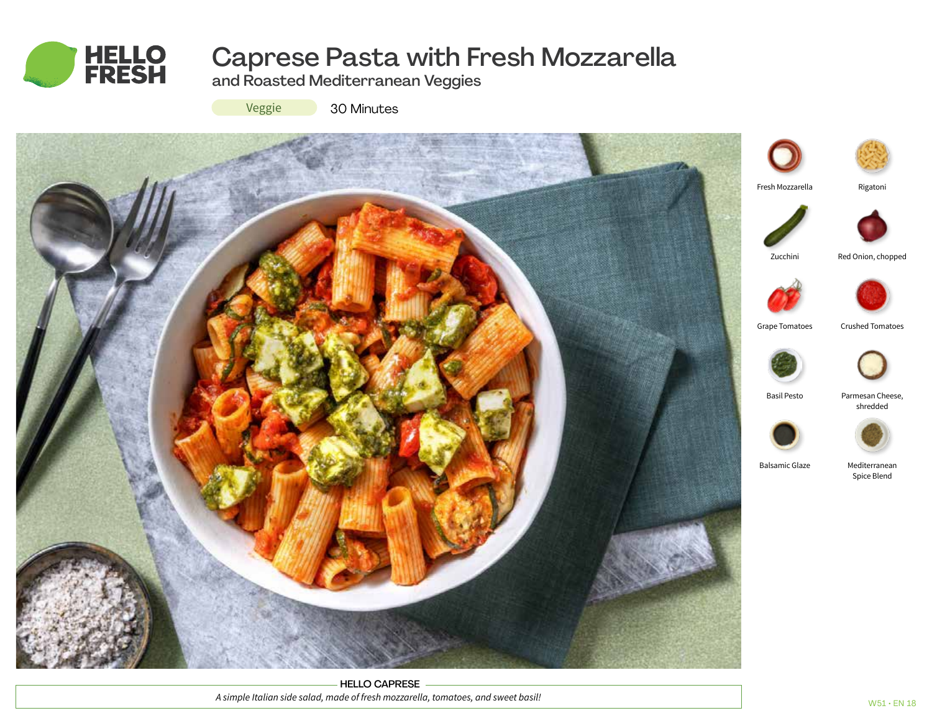

# Caprese Pasta with Fresh Mozzarella

and Roasted Mediterranean Veggies



30 Minutes



HELLO CAPRESE *A simple Italian side salad, made of fresh mozzarella, tomatoes, and sweet basil!*